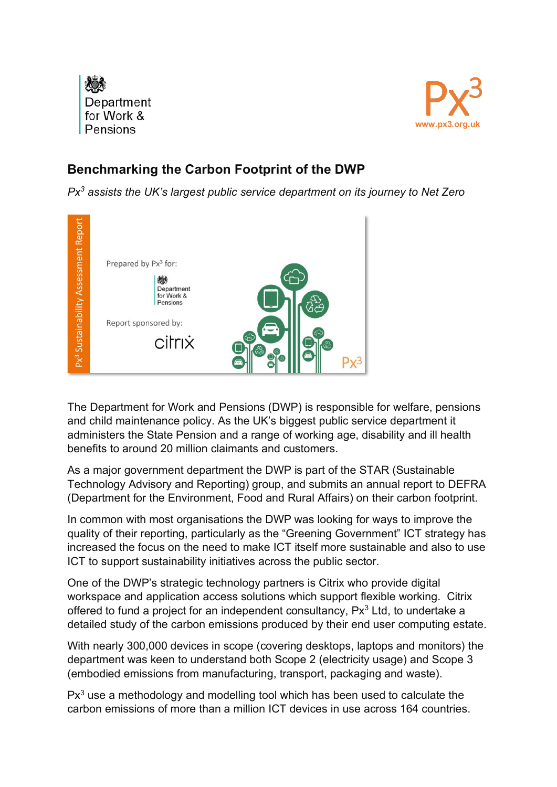



## **Benchmarking the Carbon Footprint of the DWP**

*Px3 assists the UK's largest public service department on its journey to Net Zero*



The Department for Work and Pensions (DWP) is responsible for welfare, pensions and child maintenance policy. As the UK's biggest public service department it administers the State Pension and a range of working age, disability and ill health benefits to around 20 million claimants and customers.

As a major government department the DWP is part of the STAR (Sustainable Technology Advisory and Reporting) group, and submits an annual report to DEFRA (Department for the Environment, Food and Rural Affairs) on their carbon footprint.

In common with most organisations the DWP was looking for ways to improve the quality of their reporting, particularly as the "Greening Government" ICT strategy has increased the focus on the need to make ICT itself more sustainable and also to use ICT to support sustainability initiatives across the public sector.

One of the DWP's strategic technology partners is Citrix who provide digital workspace and application access solutions which support flexible working. Citrix offered to fund a project for an independent consultancy,  $Px^3$  Ltd, to undertake a detailed study of the carbon emissions produced by their end user computing estate.

With nearly 300,000 devices in scope (covering desktops, laptops and monitors) the department was keen to understand both Scope 2 (electricity usage) and Scope 3 (embodied emissions from manufacturing, transport, packaging and waste).

 $Px<sup>3</sup>$  use a methodology and modelling tool which has been used to calculate the carbon emissions of more than a million ICT devices in use across 164 countries.